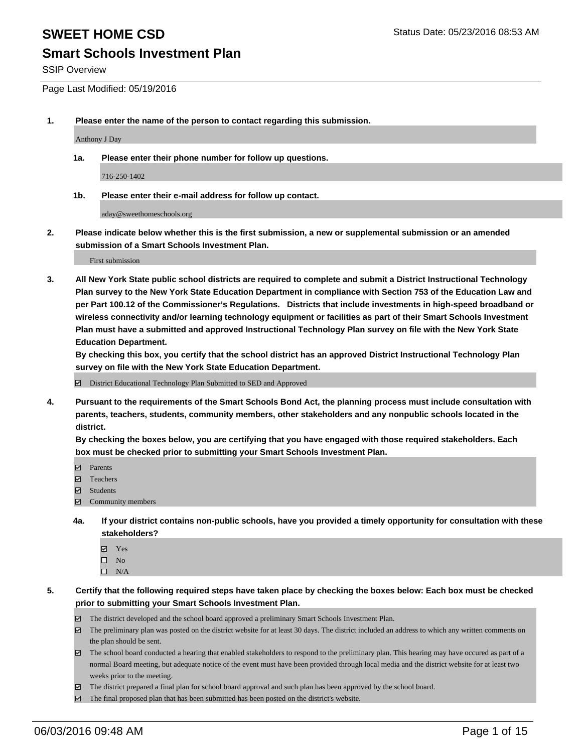#### **Smart Schools Investment Plan**

SSIP Overview

Page Last Modified: 05/19/2016

**1. Please enter the name of the person to contact regarding this submission.**

Anthony J Day

**1a. Please enter their phone number for follow up questions.**

716-250-1402

**1b. Please enter their e-mail address for follow up contact.**

aday@sweethomeschools.org

**2. Please indicate below whether this is the first submission, a new or supplemental submission or an amended submission of a Smart Schools Investment Plan.**

First submission

**3. All New York State public school districts are required to complete and submit a District Instructional Technology Plan survey to the New York State Education Department in compliance with Section 753 of the Education Law and per Part 100.12 of the Commissioner's Regulations. Districts that include investments in high-speed broadband or wireless connectivity and/or learning technology equipment or facilities as part of their Smart Schools Investment Plan must have a submitted and approved Instructional Technology Plan survey on file with the New York State Education Department.** 

**By checking this box, you certify that the school district has an approved District Instructional Technology Plan survey on file with the New York State Education Department.**

District Educational Technology Plan Submitted to SED and Approved

**4. Pursuant to the requirements of the Smart Schools Bond Act, the planning process must include consultation with parents, teachers, students, community members, other stakeholders and any nonpublic schools located in the district.** 

**By checking the boxes below, you are certifying that you have engaged with those required stakeholders. Each box must be checked prior to submitting your Smart Schools Investment Plan.**

- **Parents**
- Teachers
- Students
- Community members
- **4a. If your district contains non-public schools, have you provided a timely opportunity for consultation with these stakeholders?**
	- Yes  $\square$  No
	- $\square$  N/A
- **5. Certify that the following required steps have taken place by checking the boxes below: Each box must be checked prior to submitting your Smart Schools Investment Plan.**
	- The district developed and the school board approved a preliminary Smart Schools Investment Plan.
	- $\Box$  The preliminary plan was posted on the district website for at least 30 days. The district included an address to which any written comments on the plan should be sent.
	- $\Box$  The school board conducted a hearing that enabled stakeholders to respond to the preliminary plan. This hearing may have occured as part of a normal Board meeting, but adequate notice of the event must have been provided through local media and the district website for at least two weeks prior to the meeting.
	- The district prepared a final plan for school board approval and such plan has been approved by the school board.
	- $\boxdot$  The final proposed plan that has been submitted has been posted on the district's website.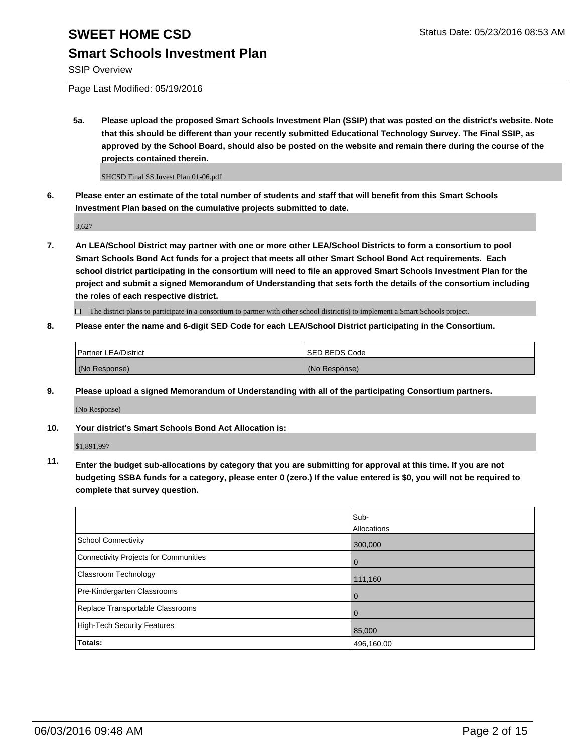### **Smart Schools Investment Plan**

SSIP Overview

Page Last Modified: 05/19/2016

**5a. Please upload the proposed Smart Schools Investment Plan (SSIP) that was posted on the district's website. Note that this should be different than your recently submitted Educational Technology Survey. The Final SSIP, as approved by the School Board, should also be posted on the website and remain there during the course of the projects contained therein.**

SHCSD Final SS Invest Plan 01-06.pdf

**6. Please enter an estimate of the total number of students and staff that will benefit from this Smart Schools Investment Plan based on the cumulative projects submitted to date.**

3,627

**7. An LEA/School District may partner with one or more other LEA/School Districts to form a consortium to pool Smart Schools Bond Act funds for a project that meets all other Smart School Bond Act requirements. Each school district participating in the consortium will need to file an approved Smart Schools Investment Plan for the project and submit a signed Memorandum of Understanding that sets forth the details of the consortium including the roles of each respective district.**

 $\Box$  The district plans to participate in a consortium to partner with other school district(s) to implement a Smart Schools project.

**8. Please enter the name and 6-digit SED Code for each LEA/School District participating in the Consortium.**

| <b>Partner LEA/District</b> | ISED BEDS Code |
|-----------------------------|----------------|
| (No Response)               | (No Response)  |

**9. Please upload a signed Memorandum of Understanding with all of the participating Consortium partners.** (No Response)

**10. Your district's Smart Schools Bond Act Allocation is:**

\$1,891,997

**11. Enter the budget sub-allocations by category that you are submitting for approval at this time. If you are not budgeting SSBA funds for a category, please enter 0 (zero.) If the value entered is \$0, you will not be required to complete that survey question.**

|                                       | Sub-        |
|---------------------------------------|-------------|
|                                       | Allocations |
| <b>School Connectivity</b>            | 300,000     |
| Connectivity Projects for Communities | $\Omega$    |
| <b>Classroom Technology</b>           | 111,160     |
| Pre-Kindergarten Classrooms           | $\Omega$    |
| Replace Transportable Classrooms      | $\Omega$    |
| High-Tech Security Features           | 85,000      |
| Totals:                               | 496,160.00  |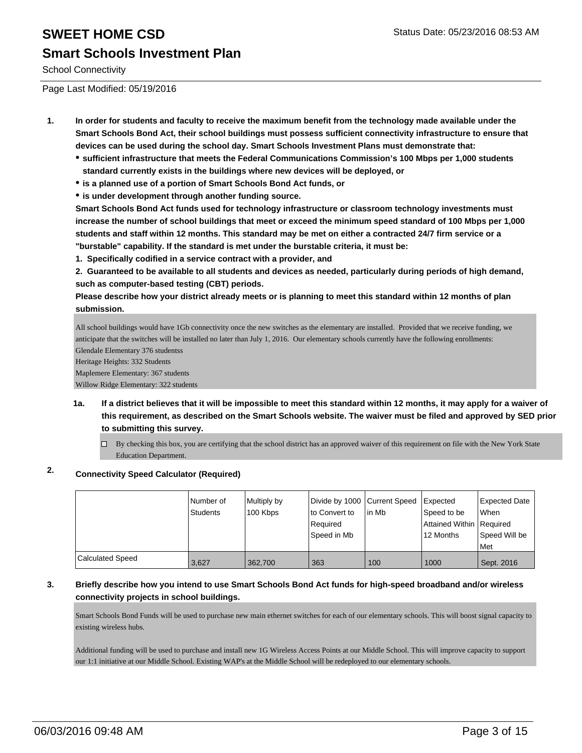# **SWEET HOME CSD** Status Date: 05/23/2016 08:53 AM **Smart Schools Investment Plan**

School Connectivity

Page Last Modified: 05/19/2016

- **1. In order for students and faculty to receive the maximum benefit from the technology made available under the Smart Schools Bond Act, their school buildings must possess sufficient connectivity infrastructure to ensure that devices can be used during the school day. Smart Schools Investment Plans must demonstrate that:**
	- **sufficient infrastructure that meets the Federal Communications Commission's 100 Mbps per 1,000 students standard currently exists in the buildings where new devices will be deployed, or**
	- **is a planned use of a portion of Smart Schools Bond Act funds, or**
	- **is under development through another funding source.**

**Smart Schools Bond Act funds used for technology infrastructure or classroom technology investments must increase the number of school buildings that meet or exceed the minimum speed standard of 100 Mbps per 1,000 students and staff within 12 months. This standard may be met on either a contracted 24/7 firm service or a "burstable" capability. If the standard is met under the burstable criteria, it must be:**

**1. Specifically codified in a service contract with a provider, and**

**2. Guaranteed to be available to all students and devices as needed, particularly during periods of high demand, such as computer-based testing (CBT) periods.**

**Please describe how your district already meets or is planning to meet this standard within 12 months of plan submission.**

All school buildings would have 1Gb connectivity once the new switches as the elementary are installed. Provided that we receive funding, we anticipate that the switches will be installed no later than July 1, 2016. Our elementary schools currently have the following enrollments: Glendale Elementary 376 studentss

Heritage Heights: 332 Students

Maplemere Elementary: 367 students Willow Ridge Elementary: 322 students

- **1a. If a district believes that it will be impossible to meet this standard within 12 months, it may apply for a waiver of this requirement, as described on the Smart Schools website. The waiver must be filed and approved by SED prior to submitting this survey.**
	- $\Box$  By checking this box, you are certifying that the school district has an approved waiver of this requirement on file with the New York State Education Department.

#### **2. Connectivity Speed Calculator (Required)**

|                         | Number of<br>Students | Multiply by<br>100 Kbps | Divide by 1000 Current Speed<br>lto Convert to<br>Required<br>Speed in Mb | l in Mb | Expected<br>Speed to be<br>Attained Within   Required<br>12 Months | Expected Date<br><b>When</b><br>Speed Will be<br><b>Met</b> |
|-------------------------|-----------------------|-------------------------|---------------------------------------------------------------------------|---------|--------------------------------------------------------------------|-------------------------------------------------------------|
| <b>Calculated Speed</b> | 3,627                 | 362,700                 | 363                                                                       | 100     | 1000                                                               | Sept. 2016                                                  |

#### **3. Briefly describe how you intend to use Smart Schools Bond Act funds for high-speed broadband and/or wireless connectivity projects in school buildings.**

Smart Schools Bond Funds will be used to purchase new main ethernet switches for each of our elementary schools. This will boost signal capacity to existing wireless hubs.

Additional funding will be used to purchase and install new 1G Wireless Access Points at our Middle School. This will improve capacity to support our 1:1 initiative at our Middle School. Existing WAP's at the Middle School will be redeployed to our elementary schools.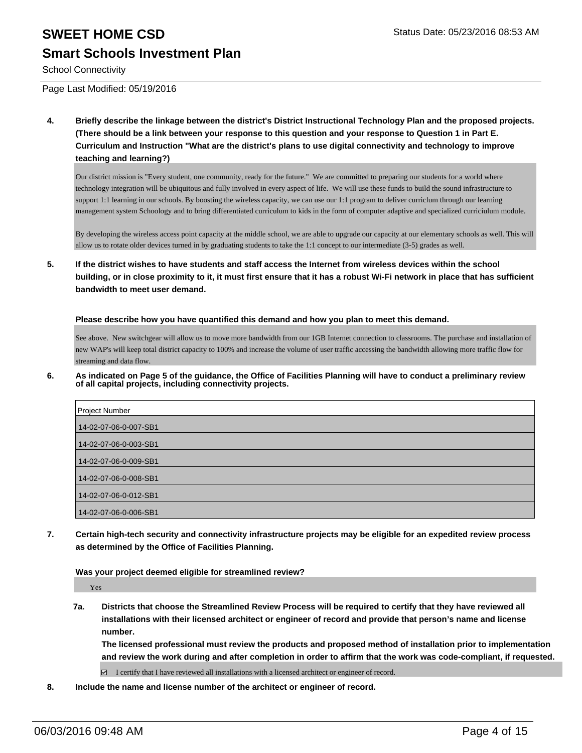# **SWEET HOME CSD** Status Date: 05/23/2016 08:53 AM **Smart Schools Investment Plan**

School Connectivity

Page Last Modified: 05/19/2016

**4. Briefly describe the linkage between the district's District Instructional Technology Plan and the proposed projects. (There should be a link between your response to this question and your response to Question 1 in Part E. Curriculum and Instruction "What are the district's plans to use digital connectivity and technology to improve teaching and learning?)**

Our district mission is "Every student, one community, ready for the future." We are committed to preparing our students for a world where technology integration will be ubiquitous and fully involved in every aspect of life. We will use these funds to build the sound infrastructure to support 1:1 learning in our schools. By boosting the wireless capacity, we can use our 1:1 program to deliver curriclum through our learning management system Schoology and to bring differentiated curriculum to kids in the form of computer adaptive and specialized curriciulum module.

By developing the wireless access point capacity at the middle school, we are able to upgrade our capacity at our elementary schools as well. This will allow us to rotate older devices turned in by graduating students to take the 1:1 concept to our intermediate (3-5) grades as well.

**5. If the district wishes to have students and staff access the Internet from wireless devices within the school building, or in close proximity to it, it must first ensure that it has a robust Wi-Fi network in place that has sufficient bandwidth to meet user demand.**

**Please describe how you have quantified this demand and how you plan to meet this demand.**

See above. New switchgear will allow us to move more bandwidth from our 1GB Internet connection to classrooms. The purchase and installation of new WAP's will keep total district capacity to 100% and increase the volume of user traffic accessing the bandwidth allowing more traffic flow for streaming and data flow.

**6. As indicated on Page 5 of the guidance, the Office of Facilities Planning will have to conduct a preliminary review of all capital projects, including connectivity projects.**

| Project Number        |
|-----------------------|
| 14-02-07-06-0-007-SB1 |
| 14-02-07-06-0-003-SB1 |
| 14-02-07-06-0-009-SB1 |
| 14-02-07-06-0-008-SB1 |
| 14-02-07-06-0-012-SB1 |
| 14-02-07-06-0-006-SB1 |

**7. Certain high-tech security and connectivity infrastructure projects may be eligible for an expedited review process as determined by the Office of Facilities Planning.**

**Was your project deemed eligible for streamlined review?**

Yes

**7a. Districts that choose the Streamlined Review Process will be required to certify that they have reviewed all installations with their licensed architect or engineer of record and provide that person's name and license number.**

**The licensed professional must review the products and proposed method of installation prior to implementation and review the work during and after completion in order to affirm that the work was code-compliant, if requested.**

 $\Box$  I certify that I have reviewed all installations with a licensed architect or engineer of record.

**8. Include the name and license number of the architect or engineer of record.**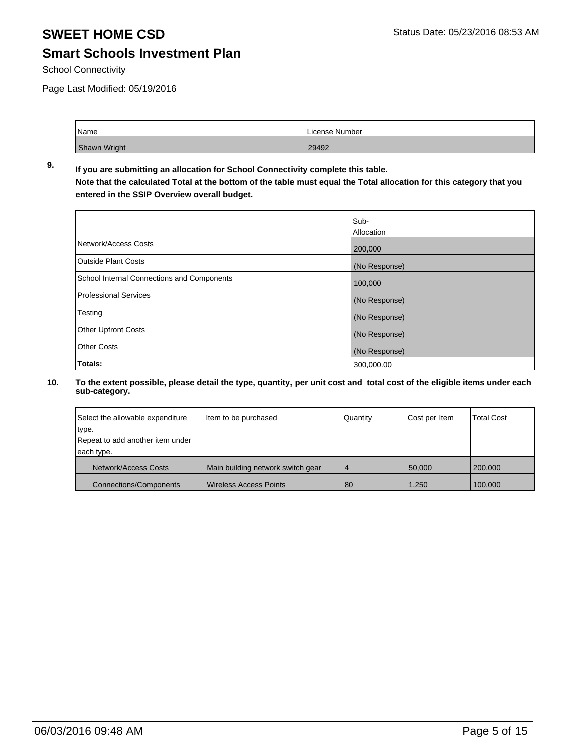### **Smart Schools Investment Plan**

School Connectivity

Page Last Modified: 05/19/2016

| Name         | License Number |
|--------------|----------------|
| Shawn Wright | 29492          |

#### **9. If you are submitting an allocation for School Connectivity complete this table. Note that the calculated Total at the bottom of the table must equal the Total allocation for this category that you entered in the SSIP Overview overall budget.**

|                                            | Sub-          |
|--------------------------------------------|---------------|
|                                            | Allocation    |
| Network/Access Costs                       | 200,000       |
| <b>Outside Plant Costs</b>                 | (No Response) |
| School Internal Connections and Components | 100,000       |
| <b>Professional Services</b>               | (No Response) |
| Testing                                    | (No Response) |
| <b>Other Upfront Costs</b>                 | (No Response) |
| <b>Other Costs</b>                         | (No Response) |
| Totals:                                    | 300,000.00    |

| Select the allowable expenditure | Item to be purchased              | Quantity       | Cost per Item | <b>Total Cost</b> |
|----------------------------------|-----------------------------------|----------------|---------------|-------------------|
| type.                            |                                   |                |               |                   |
| Repeat to add another item under |                                   |                |               |                   |
| each type.                       |                                   |                |               |                   |
| <b>Network/Access Costs</b>      | Main building network switch gear | $\overline{4}$ | 50,000        | 200,000           |
| <b>Connections/Components</b>    | Wireless Access Points            | -80            | 1,250         | 100.000           |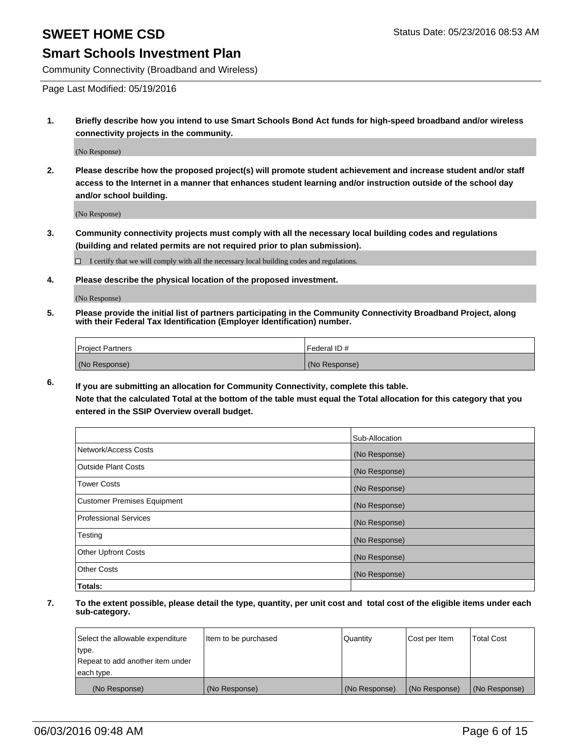#### **Smart Schools Investment Plan**

Community Connectivity (Broadband and Wireless)

Page Last Modified: 05/19/2016

**1. Briefly describe how you intend to use Smart Schools Bond Act funds for high-speed broadband and/or wireless connectivity projects in the community.**

(No Response)

**2. Please describe how the proposed project(s) will promote student achievement and increase student and/or staff access to the Internet in a manner that enhances student learning and/or instruction outside of the school day and/or school building.**

(No Response)

**3. Community connectivity projects must comply with all the necessary local building codes and regulations (building and related permits are not required prior to plan submission).**

 $\Box$  I certify that we will comply with all the necessary local building codes and regulations.

**4. Please describe the physical location of the proposed investment.**

(No Response)

**5. Please provide the initial list of partners participating in the Community Connectivity Broadband Project, along with their Federal Tax Identification (Employer Identification) number.**

| Project Partners | <b>IFederal ID#</b> |
|------------------|---------------------|
| (No Response)    | (No Response)       |

**6. If you are submitting an allocation for Community Connectivity, complete this table. Note that the calculated Total at the bottom of the table must equal the Total allocation for this category that you**

**entered in the SSIP Overview overall budget.**

|                             | Sub-Allocation |
|-----------------------------|----------------|
| Network/Access Costs        | (No Response)  |
| Outside Plant Costs         | (No Response)  |
| <b>Tower Costs</b>          | (No Response)  |
| Customer Premises Equipment | (No Response)  |
| Professional Services       | (No Response)  |
| Testing                     | (No Response)  |
| Other Upfront Costs         | (No Response)  |
| Other Costs                 | (No Response)  |
| Totals:                     |                |

| Select the allowable expenditure | Item to be purchased | Quantity      | Cost per Item | <b>Total Cost</b> |
|----------------------------------|----------------------|---------------|---------------|-------------------|
| type.                            |                      |               |               |                   |
| Repeat to add another item under |                      |               |               |                   |
| each type.                       |                      |               |               |                   |
| (No Response)                    | (No Response)        | (No Response) | (No Response) | (No Response)     |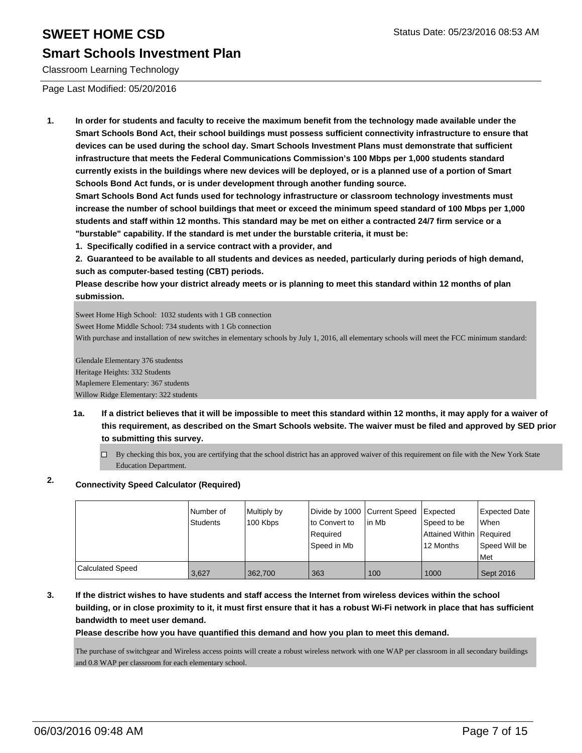#### **Smart Schools Investment Plan**

Classroom Learning Technology

Page Last Modified: 05/20/2016

**1. In order for students and faculty to receive the maximum benefit from the technology made available under the Smart Schools Bond Act, their school buildings must possess sufficient connectivity infrastructure to ensure that devices can be used during the school day. Smart Schools Investment Plans must demonstrate that sufficient infrastructure that meets the Federal Communications Commission's 100 Mbps per 1,000 students standard currently exists in the buildings where new devices will be deployed, or is a planned use of a portion of Smart Schools Bond Act funds, or is under development through another funding source.**

**Smart Schools Bond Act funds used for technology infrastructure or classroom technology investments must increase the number of school buildings that meet or exceed the minimum speed standard of 100 Mbps per 1,000 students and staff within 12 months. This standard may be met on either a contracted 24/7 firm service or a "burstable" capability. If the standard is met under the burstable criteria, it must be:**

**1. Specifically codified in a service contract with a provider, and**

**2. Guaranteed to be available to all students and devices as needed, particularly during periods of high demand, such as computer-based testing (CBT) periods.**

**Please describe how your district already meets or is planning to meet this standard within 12 months of plan submission.**

Sweet Home High School: 1032 students with 1 GB connection Sweet Home Middle School: 734 students with 1 Gb connection With purchase and installation of new switches in elementary schools by July 1, 2016, all elementary schools will meet the FCC minimum standard: Glendale Elementary 376 studentss

Heritage Heights: 332 Students Maplemere Elementary: 367 students Willow Ridge Elementary: 322 students

- **1a. If a district believes that it will be impossible to meet this standard within 12 months, it may apply for a waiver of this requirement, as described on the Smart Schools website. The waiver must be filed and approved by SED prior to submitting this survey.**
	- $\Box$  By checking this box, you are certifying that the school district has an approved waiver of this requirement on file with the New York State Education Department.

### **2. Connectivity Speed Calculator (Required)**

|                         | Number of<br>Students | Multiply by<br>100 Kbps | Divide by 1000 Current Speed<br>lto Convert to<br>Reauired<br>Speed in Mb | lin Mb | Expected<br>Speed to be<br>Attained Within   Required<br>12 Months | Expected Date<br><b>When</b><br>Speed Will be<br><b>IMet</b> |
|-------------------------|-----------------------|-------------------------|---------------------------------------------------------------------------|--------|--------------------------------------------------------------------|--------------------------------------------------------------|
| <b>Calculated Speed</b> | 3,627                 | 362,700                 | 363                                                                       | 100    | 1000                                                               | Sept 2016                                                    |

**3. If the district wishes to have students and staff access the Internet from wireless devices within the school building, or in close proximity to it, it must first ensure that it has a robust Wi-Fi network in place that has sufficient bandwidth to meet user demand.**

**Please describe how you have quantified this demand and how you plan to meet this demand.**

The purchase of switchgear and Wireless access points will create a robust wireless network with one WAP per classroom in all secondary buildings and 0.8 WAP per classroom for each elementary school.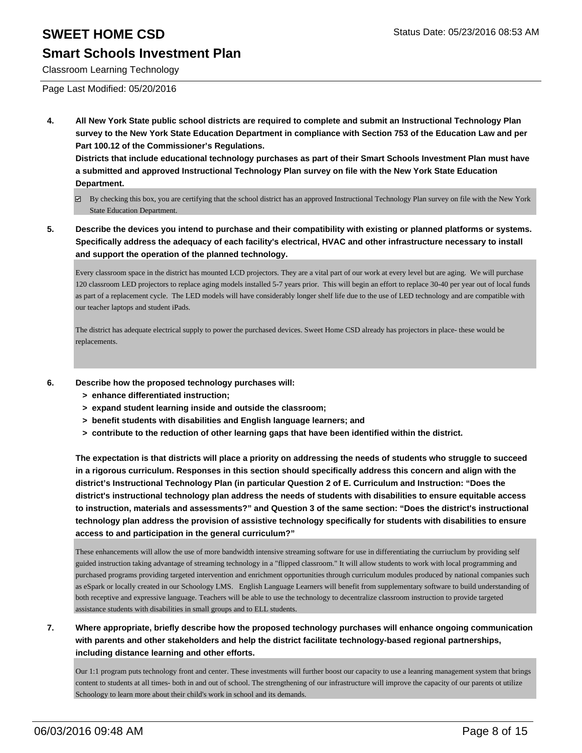### **Smart Schools Investment Plan**

Classroom Learning Technology

Page Last Modified: 05/20/2016

**4. All New York State public school districts are required to complete and submit an Instructional Technology Plan survey to the New York State Education Department in compliance with Section 753 of the Education Law and per Part 100.12 of the Commissioner's Regulations.**

**Districts that include educational technology purchases as part of their Smart Schools Investment Plan must have a submitted and approved Instructional Technology Plan survey on file with the New York State Education Department.**

- By checking this box, you are certifying that the school district has an approved Instructional Technology Plan survey on file with the New York State Education Department.
- **5. Describe the devices you intend to purchase and their compatibility with existing or planned platforms or systems. Specifically address the adequacy of each facility's electrical, HVAC and other infrastructure necessary to install and support the operation of the planned technology.**

Every classroom space in the district has mounted LCD projectors. They are a vital part of our work at every level but are aging. We will purchase 120 classroom LED projectors to replace aging models installed 5-7 years prior. This will begin an effort to replace 30-40 per year out of local funds as part of a replacement cycle. The LED models will have considerably longer shelf life due to the use of LED technology and are compatible with our teacher laptops and student iPads.

The district has adequate electrical supply to power the purchased devices. Sweet Home CSD already has projectors in place- these would be replacements.

- **6. Describe how the proposed technology purchases will:**
	- **> enhance differentiated instruction;**
	- **> expand student learning inside and outside the classroom;**
	- **> benefit students with disabilities and English language learners; and**
	- **> contribute to the reduction of other learning gaps that have been identified within the district.**

**The expectation is that districts will place a priority on addressing the needs of students who struggle to succeed in a rigorous curriculum. Responses in this section should specifically address this concern and align with the district's Instructional Technology Plan (in particular Question 2 of E. Curriculum and Instruction: "Does the district's instructional technology plan address the needs of students with disabilities to ensure equitable access to instruction, materials and assessments?" and Question 3 of the same section: "Does the district's instructional technology plan address the provision of assistive technology specifically for students with disabilities to ensure access to and participation in the general curriculum?"**

These enhancements will allow the use of more bandwidth intensive streaming software for use in differentiating the curriuclum by providing self guided instruction taking advantage of streaming technology in a "flipped classroom." It will allow students to work with local programming and purchased programs providing targeted intervention and enrichment opportunities through curriculum modules produced by national companies such as eSpark or locally created in our Schoology LMS. English Language Learners will benefit from supplementary software to build understanding of both receptive and expressive language. Teachers will be able to use the technology to decentralize classroom instruction to provide targeted assistance students with disabilities in small groups and to ELL students.

**7. Where appropriate, briefly describe how the proposed technology purchases will enhance ongoing communication with parents and other stakeholders and help the district facilitate technology-based regional partnerships, including distance learning and other efforts.**

Our 1:1 program puts technology front and center. These investments will further boost our capacity to use a leanring management system that brings content to students at all times- both in and out of school. The strengthening of our infrastructure will improve the capacity of our parents ot utilize Schoology to learn more about their child's work in school and its demands.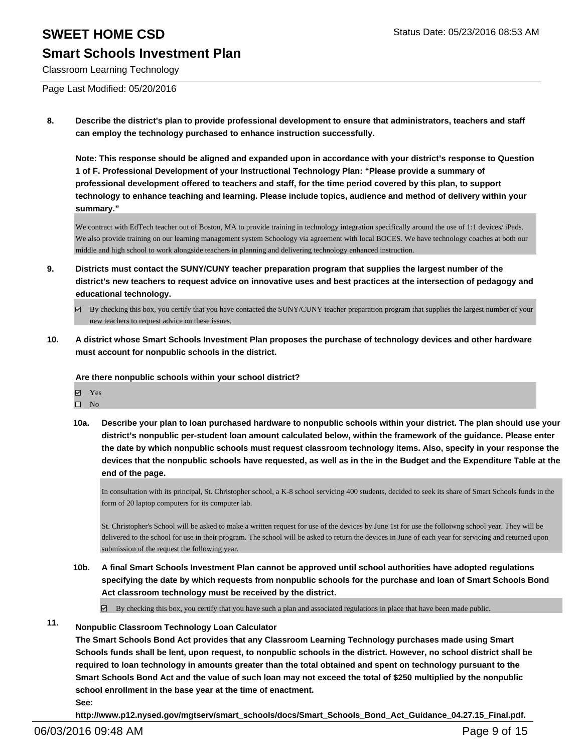### **Smart Schools Investment Plan**

Classroom Learning Technology

Page Last Modified: 05/20/2016

**8. Describe the district's plan to provide professional development to ensure that administrators, teachers and staff can employ the technology purchased to enhance instruction successfully.**

**Note: This response should be aligned and expanded upon in accordance with your district's response to Question 1 of F. Professional Development of your Instructional Technology Plan: "Please provide a summary of professional development offered to teachers and staff, for the time period covered by this plan, to support technology to enhance teaching and learning. Please include topics, audience and method of delivery within your summary."**

We contract with EdTech teacher out of Boston, MA to provide training in technology integration specifically around the use of 1:1 devices/ iPads. We also provide training on our learning management system Schoology via agreement with local BOCES. We have technology coaches at both our middle and high school to work alongside teachers in planning and delivering technology enhanced instruction.

- **9. Districts must contact the SUNY/CUNY teacher preparation program that supplies the largest number of the district's new teachers to request advice on innovative uses and best practices at the intersection of pedagogy and educational technology.**
	- By checking this box, you certify that you have contacted the SUNY/CUNY teacher preparation program that supplies the largest number of your new teachers to request advice on these issues.
- **10. A district whose Smart Schools Investment Plan proposes the purchase of technology devices and other hardware must account for nonpublic schools in the district.**

#### **Are there nonpublic schools within your school district?**

- **团** Yes
- $\hfill \square$  No
- **10a. Describe your plan to loan purchased hardware to nonpublic schools within your district. The plan should use your district's nonpublic per-student loan amount calculated below, within the framework of the guidance. Please enter the date by which nonpublic schools must request classroom technology items. Also, specify in your response the devices that the nonpublic schools have requested, as well as in the in the Budget and the Expenditure Table at the end of the page.**

In consultation with its principal, St. Christopher school, a K-8 school servicing 400 students, decided to seek its share of Smart Schools funds in the form of 20 laptop computers for its computer lab.

St. Christopher's School will be asked to make a written request for use of the devices by June 1st for use the folloiwng school year. They will be delivered to the school for use in their program. The school will be asked to return the devices in June of each year for servicing and returned upon submission of the request the following year.

**10b. A final Smart Schools Investment Plan cannot be approved until school authorities have adopted regulations specifying the date by which requests from nonpublic schools for the purchase and loan of Smart Schools Bond Act classroom technology must be received by the district.**

 $\boxtimes$  By checking this box, you certify that you have such a plan and associated regulations in place that have been made public.

### **11. Nonpublic Classroom Technology Loan Calculator**

**The Smart Schools Bond Act provides that any Classroom Learning Technology purchases made using Smart Schools funds shall be lent, upon request, to nonpublic schools in the district. However, no school district shall be required to loan technology in amounts greater than the total obtained and spent on technology pursuant to the Smart Schools Bond Act and the value of such loan may not exceed the total of \$250 multiplied by the nonpublic school enrollment in the base year at the time of enactment. See:**

**http://www.p12.nysed.gov/mgtserv/smart\_schools/docs/Smart\_Schools\_Bond\_Act\_Guidance\_04.27.15\_Final.pdf.**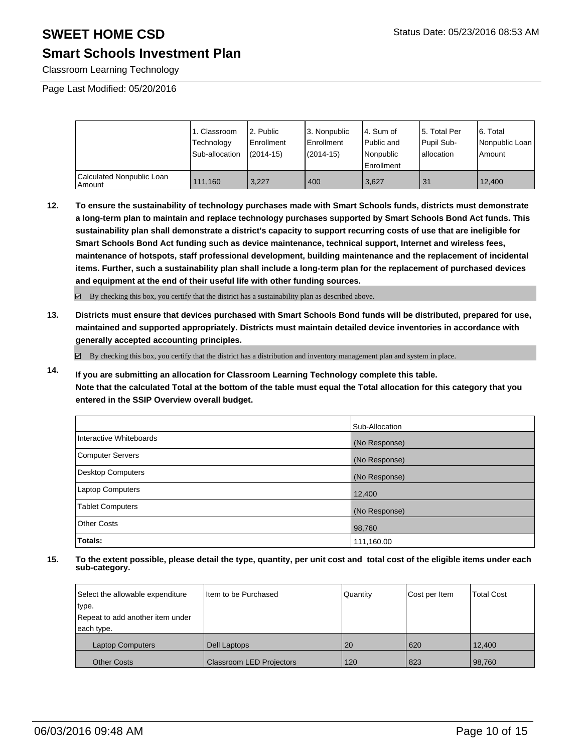### **Smart Schools Investment Plan**

Classroom Learning Technology

Page Last Modified: 05/20/2016

|                                     | 1. Classroom<br>Technology<br>Sub-allocation | 2. Public<br>Enrollment<br>$(2014-15)$ | 3. Nonpublic<br>Enrollment<br>$(2014-15)$ | l 4. Sum of<br>l Public and<br>l Nonpublic<br><b>Enrollment</b> | 15. Total Per<br>Pupil Sub-<br>Iallocation | 6. Total<br>Nonpublic Loan<br>Amount |
|-------------------------------------|----------------------------------------------|----------------------------------------|-------------------------------------------|-----------------------------------------------------------------|--------------------------------------------|--------------------------------------|
| Calculated Nonpublic Loan<br>Amount | 111.160                                      | 3.227                                  | 400                                       | 3,627                                                           | 31                                         | 12.400                               |

**12. To ensure the sustainability of technology purchases made with Smart Schools funds, districts must demonstrate a long-term plan to maintain and replace technology purchases supported by Smart Schools Bond Act funds. This sustainability plan shall demonstrate a district's capacity to support recurring costs of use that are ineligible for Smart Schools Bond Act funding such as device maintenance, technical support, Internet and wireless fees, maintenance of hotspots, staff professional development, building maintenance and the replacement of incidental items. Further, such a sustainability plan shall include a long-term plan for the replacement of purchased devices and equipment at the end of their useful life with other funding sources.**

 $\boxdot$  By checking this box, you certify that the district has a sustainability plan as described above.

**13. Districts must ensure that devices purchased with Smart Schools Bond funds will be distributed, prepared for use, maintained and supported appropriately. Districts must maintain detailed device inventories in accordance with generally accepted accounting principles.**

By checking this box, you certify that the district has a distribution and inventory management plan and system in place.

**14. If you are submitting an allocation for Classroom Learning Technology complete this table. Note that the calculated Total at the bottom of the table must equal the Total allocation for this category that you entered in the SSIP Overview overall budget.**

|                         | Sub-Allocation |
|-------------------------|----------------|
| Interactive Whiteboards | (No Response)  |
| Computer Servers        | (No Response)  |
| Desktop Computers       | (No Response)  |
| Laptop Computers        | 12,400         |
| <b>Tablet Computers</b> | (No Response)  |
| <b>Other Costs</b>      | 98,760         |
| Totals:                 | 111,160.00     |

| Select the allowable expenditure | Item to be Purchased            | Quantity | Cost per Item | <b>Total Cost</b> |
|----------------------------------|---------------------------------|----------|---------------|-------------------|
| type.                            |                                 |          |               |                   |
| Repeat to add another item under |                                 |          |               |                   |
| each type.                       |                                 |          |               |                   |
| <b>Laptop Computers</b>          | Dell Laptops                    | 20       | 620           | 12,400            |
| <b>Other Costs</b>               | <b>Classroom LED Projectors</b> | 120      | 823           | 98,760            |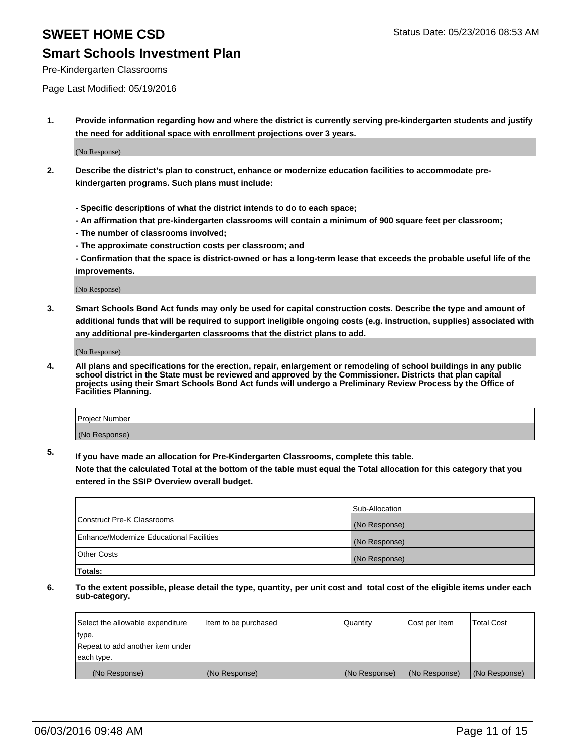### **Smart Schools Investment Plan**

Pre-Kindergarten Classrooms

Page Last Modified: 05/19/2016

**1. Provide information regarding how and where the district is currently serving pre-kindergarten students and justify the need for additional space with enrollment projections over 3 years.**

(No Response)

- **2. Describe the district's plan to construct, enhance or modernize education facilities to accommodate prekindergarten programs. Such plans must include:**
	- **Specific descriptions of what the district intends to do to each space;**
	- **An affirmation that pre-kindergarten classrooms will contain a minimum of 900 square feet per classroom;**
	- **The number of classrooms involved;**
	- **The approximate construction costs per classroom; and**
	- **Confirmation that the space is district-owned or has a long-term lease that exceeds the probable useful life of the improvements.**

(No Response)

**3. Smart Schools Bond Act funds may only be used for capital construction costs. Describe the type and amount of additional funds that will be required to support ineligible ongoing costs (e.g. instruction, supplies) associated with any additional pre-kindergarten classrooms that the district plans to add.**

(No Response)

**4. All plans and specifications for the erection, repair, enlargement or remodeling of school buildings in any public school district in the State must be reviewed and approved by the Commissioner. Districts that plan capital projects using their Smart Schools Bond Act funds will undergo a Preliminary Review Process by the Office of Facilities Planning.**

| Project Number |  |
|----------------|--|
| (No Response)  |  |

**5. If you have made an allocation for Pre-Kindergarten Classrooms, complete this table.**

**Note that the calculated Total at the bottom of the table must equal the Total allocation for this category that you entered in the SSIP Overview overall budget.**

|                                          | Sub-Allocation |
|------------------------------------------|----------------|
| Construct Pre-K Classrooms               | (No Response)  |
| Enhance/Modernize Educational Facilities | (No Response)  |
| Other Costs                              | (No Response)  |
| Totals:                                  |                |

| Select the allowable expenditure | Item to be purchased | Quantity      | Cost per Item | <b>Total Cost</b> |
|----------------------------------|----------------------|---------------|---------------|-------------------|
| type.                            |                      |               |               |                   |
| Repeat to add another item under |                      |               |               |                   |
| each type.                       |                      |               |               |                   |
| (No Response)                    | (No Response)        | (No Response) | (No Response) | (No Response)     |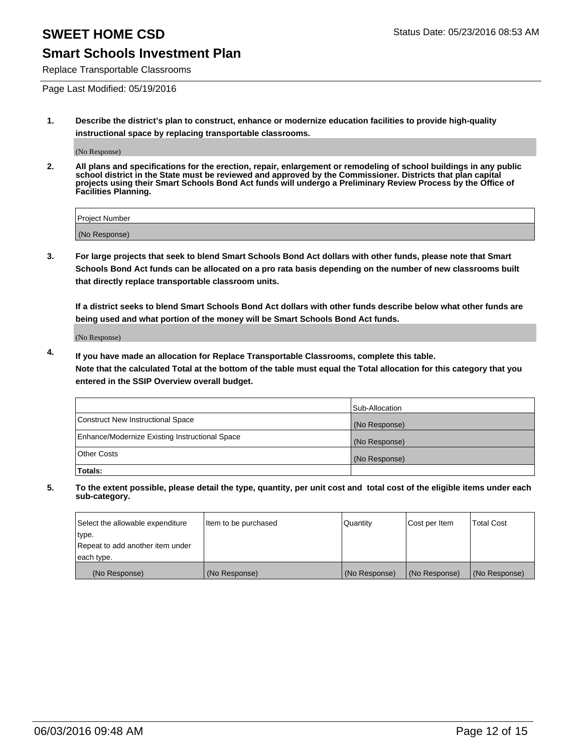### **Smart Schools Investment Plan**

Replace Transportable Classrooms

Page Last Modified: 05/19/2016

**1. Describe the district's plan to construct, enhance or modernize education facilities to provide high-quality instructional space by replacing transportable classrooms.**

(No Response)

**2. All plans and specifications for the erection, repair, enlargement or remodeling of school buildings in any public school district in the State must be reviewed and approved by the Commissioner. Districts that plan capital projects using their Smart Schools Bond Act funds will undergo a Preliminary Review Process by the Office of Facilities Planning.**

| <b>Project Number</b> |  |
|-----------------------|--|
| (No Response)         |  |

**3. For large projects that seek to blend Smart Schools Bond Act dollars with other funds, please note that Smart Schools Bond Act funds can be allocated on a pro rata basis depending on the number of new classrooms built that directly replace transportable classroom units.**

**If a district seeks to blend Smart Schools Bond Act dollars with other funds describe below what other funds are being used and what portion of the money will be Smart Schools Bond Act funds.**

(No Response)

**4. If you have made an allocation for Replace Transportable Classrooms, complete this table. Note that the calculated Total at the bottom of the table must equal the Total allocation for this category that you entered in the SSIP Overview overall budget.**

|                                                | Sub-Allocation |
|------------------------------------------------|----------------|
| Construct New Instructional Space              | (No Response)  |
| Enhance/Modernize Existing Instructional Space | (No Response)  |
| <b>Other Costs</b>                             | (No Response)  |
| Totals:                                        |                |

| Select the allowable expenditure | Item to be purchased | <b>Quantity</b> | Cost per Item | <b>Total Cost</b> |
|----------------------------------|----------------------|-----------------|---------------|-------------------|
| type.                            |                      |                 |               |                   |
| Repeat to add another item under |                      |                 |               |                   |
| each type.                       |                      |                 |               |                   |
| (No Response)                    | (No Response)        | (No Response)   | (No Response) | (No Response)     |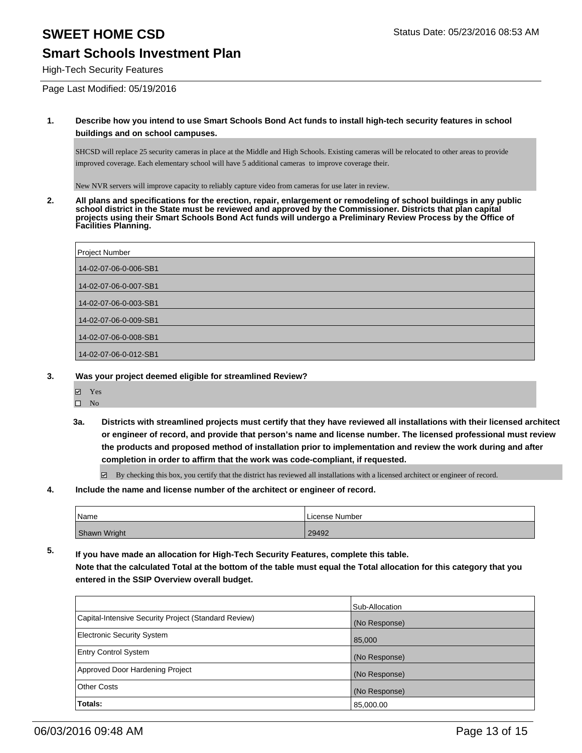### **Smart Schools Investment Plan**

High-Tech Security Features

Page Last Modified: 05/19/2016

#### **1. Describe how you intend to use Smart Schools Bond Act funds to install high-tech security features in school buildings and on school campuses.**

SHCSD will replace 25 security cameras in place at the Middle and High Schools. Existing cameras will be relocated to other areas to provide improved coverage. Each elementary school will have 5 additional cameras to improve coverage their.

New NVR servers will improve capacity to reliably capture video from cameras for use later in review.

**2. All plans and specifications for the erection, repair, enlargement or remodeling of school buildings in any public school district in the State must be reviewed and approved by the Commissioner. Districts that plan capital projects using their Smart Schools Bond Act funds will undergo a Preliminary Review Process by the Office of Facilities Planning.** 

| Project Number        |
|-----------------------|
| 14-02-07-06-0-006-SB1 |
| 14-02-07-06-0-007-SB1 |
| 14-02-07-06-0-003-SB1 |
| 14-02-07-06-0-009-SB1 |
| 14-02-07-06-0-008-SB1 |
| 14-02-07-06-0-012-SB1 |

- **3. Was your project deemed eligible for streamlined Review?**
	- Yes
	- $\hfill \square$  No
	- **3a. Districts with streamlined projects must certify that they have reviewed all installations with their licensed architect or engineer of record, and provide that person's name and license number. The licensed professional must review the products and proposed method of installation prior to implementation and review the work during and after completion in order to affirm that the work was code-compliant, if requested.**

By checking this box, you certify that the district has reviewed all installations with a licensed architect or engineer of record.

**4. Include the name and license number of the architect or engineer of record.**

| <sup>1</sup> Name | License Number |
|-------------------|----------------|
| Shawn Wright      | 29492          |

**5. If you have made an allocation for High-Tech Security Features, complete this table. Note that the calculated Total at the bottom of the table must equal the Total allocation for this category that you entered in the SSIP Overview overall budget.**

|                                                      | Sub-Allocation |
|------------------------------------------------------|----------------|
| Capital-Intensive Security Project (Standard Review) | (No Response)  |
| <b>Electronic Security System</b>                    | 85,000         |
| <b>Entry Control System</b>                          | (No Response)  |
| Approved Door Hardening Project                      | (No Response)  |
| <b>Other Costs</b>                                   | (No Response)  |
| Totals:                                              | 85,000.00      |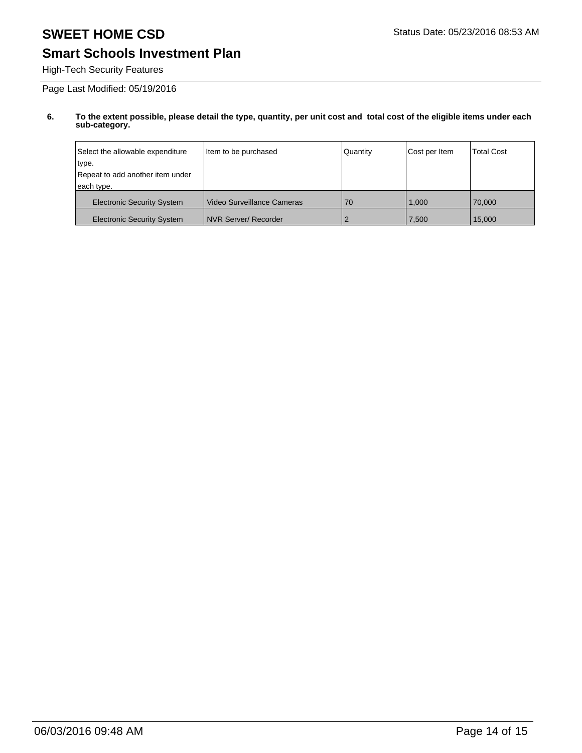## **Smart Schools Investment Plan**

High-Tech Security Features

Page Last Modified: 05/19/2016

| Select the allowable expenditure  | Item to be purchased       | Quantity | Cost per Item | <b>Total Cost</b> |
|-----------------------------------|----------------------------|----------|---------------|-------------------|
| type.                             |                            |          |               |                   |
| Repeat to add another item under  |                            |          |               |                   |
| each type.                        |                            |          |               |                   |
| <b>Electronic Security System</b> | Video Surveillance Cameras | 70       | 1.000         | 70,000            |
| <b>Electronic Security System</b> | NVR Server/ Recorder       |          | 7,500         | 15.000            |